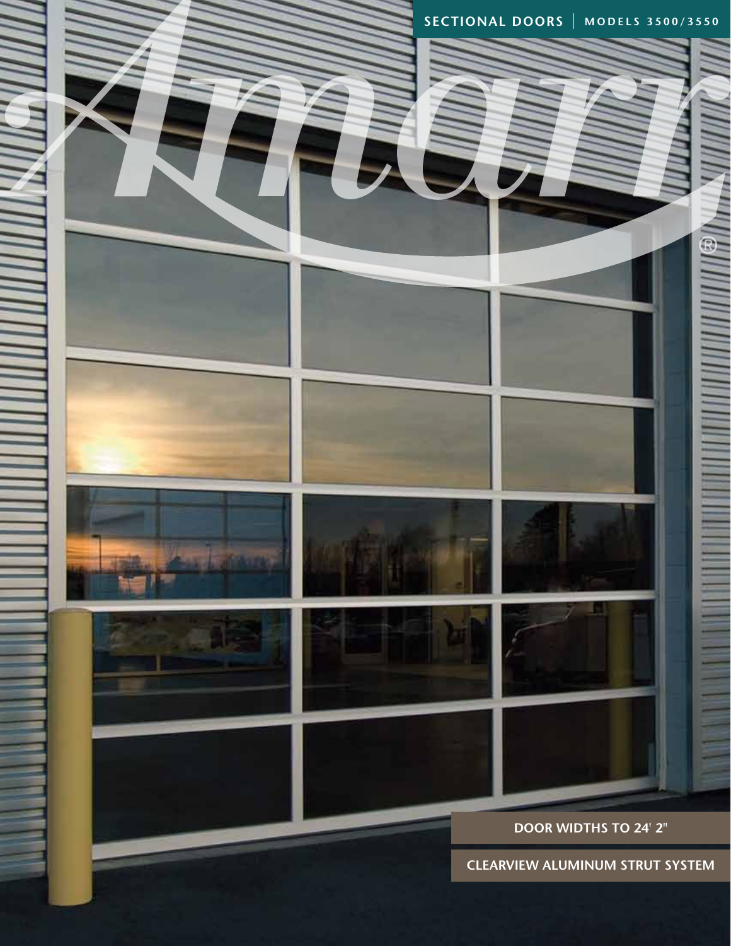